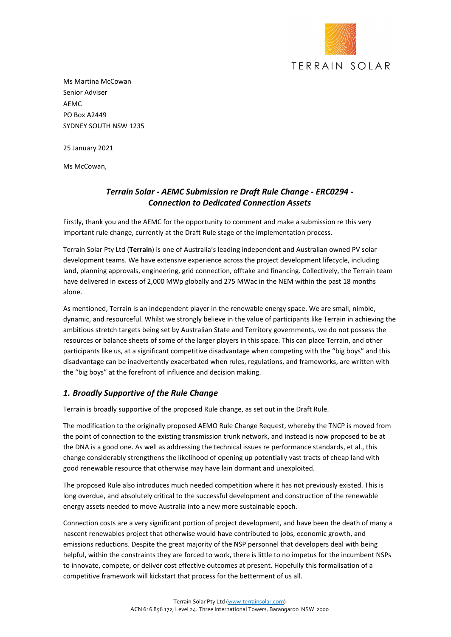

Ms Martina McCowan Senior Adviser AEMC PO Box A2449 SYDNEY SOUTH NSW 1235

25 January 2021

Ms McCowan,

## *Terrain Solar - AEMC Submission re Draft Rule Change - ERC0294 - Connection to Dedicated Connection Assets*

Firstly, thank you and the AEMC for the opportunity to comment and make a submission re this very important rule change, currently at the Draft Rule stage of the implementation process.

Terrain Solar Pty Ltd (**Terrain**) is one of Australia's leading independent and Australian owned PV solar development teams. We have extensive experience across the project development lifecycle, including land, planning approvals, engineering, grid connection, offtake and financing. Collectively, the Terrain team have delivered in excess of 2,000 MWp globally and 275 MWac in the NEM within the past 18 months alone.

As mentioned, Terrain is an independent player in the renewable energy space. We are small, nimble, dynamic, and resourceful. Whilst we strongly believe in the value of participants like Terrain in achieving the ambitious stretch targets being set by Australian State and Territory governments, we do not possess the resources or balance sheets of some of the larger players in this space. This can place Terrain, and other participants like us, at a significant competitive disadvantage when competing with the "big boys" and this disadvantage can be inadvertently exacerbated when rules, regulations, and frameworks, are written with the "big boys" at the forefront of influence and decision making.

## *1. Broadly Supportive of the Rule Change*

Terrain is broadly supportive of the proposed Rule change, as set out in the Draft Rule.

The modification to the originally proposed AEMO Rule Change Request, whereby the TNCP is moved from the point of connection to the existing transmission trunk network, and instead is now proposed to be at the DNA is a good one. As well as addressing the technical issues re performance standards, et al., this change considerably strengthens the likelihood of opening up potentially vast tracts of cheap land with good renewable resource that otherwise may have lain dormant and unexploited.

The proposed Rule also introduces much needed competition where it has not previously existed. This is long overdue, and absolutely critical to the successful development and construction of the renewable energy assets needed to move Australia into a new more sustainable epoch.

Connection costs are a very significant portion of project development, and have been the death of many a nascent renewables project that otherwise would have contributed to jobs, economic growth, and emissions reductions. Despite the great majority of the NSP personnel that developers deal with being helpful, within the constraints they are forced to work, there is little to no impetus for the incumbent NSPs to innovate, compete, or deliver cost effective outcomes at present. Hopefully this formalisation of a competitive framework will kickstart that process for the betterment of us all.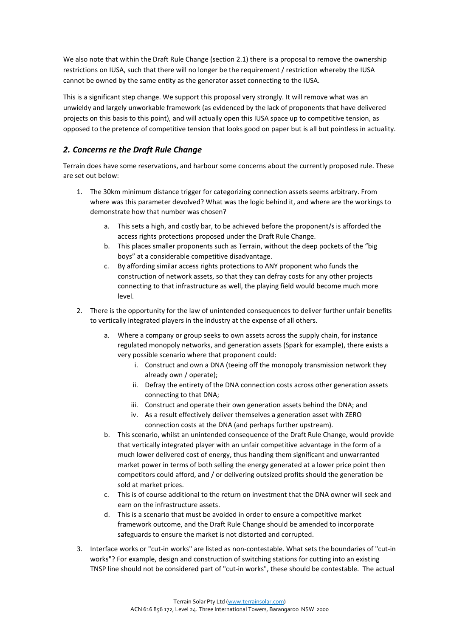We also note that within the Draft Rule Change (section 2.1) there is a proposal to remove the ownership restrictions on IUSA, such that there will no longer be the requirement / restriction whereby the IUSA cannot be owned by the same entity as the generator asset connecting to the IUSA.

This is a significant step change. We support this proposal very strongly. It will remove what was an unwieldy and largely unworkable framework (as evidenced by the lack of proponents that have delivered projects on this basis to this point), and will actually open this IUSA space up to competitive tension, as opposed to the pretence of competitive tension that looks good on paper but is all but pointless in actuality.

## *2. Concerns re the Draft Rule Change*

Terrain does have some reservations, and harbour some concerns about the currently proposed rule. These are set out below:

- 1. The 30km minimum distance trigger for categorizing connection assets seems arbitrary. From where was this parameter devolved? What was the logic behind it, and where are the workings to demonstrate how that number was chosen?
	- a. This sets a high, and costly bar, to be achieved before the proponent/s is afforded the access rights protections proposed under the Draft Rule Change.
	- b. This places smaller proponents such as Terrain, without the deep pockets of the "big boys" at a considerable competitive disadvantage.
	- c. By affording similar access rights protections to ANY proponent who funds the construction of network assets, so that they can defray costs for any other projects connecting to that infrastructure as well, the playing field would become much more level.
- 2. There is the opportunity for the law of unintended consequences to deliver further unfair benefits to vertically integrated players in the industry at the expense of all others.
	- a. Where a company or group seeks to own assets across the supply chain, for instance regulated monopoly networks, and generation assets (Spark for example), there exists a very possible scenario where that proponent could:
		- i. Construct and own a DNA (teeing off the monopoly transmission network they already own / operate);
		- ii. Defray the entirety of the DNA connection costs across other generation assets connecting to that DNA;
		- iii. Construct and operate their own generation assets behind the DNA; and
		- iv. As a result effectively deliver themselves a generation asset with ZERO connection costs at the DNA (and perhaps further upstream).
	- b. This scenario, whilst an unintended consequence of the Draft Rule Change, would provide that vertically integrated player with an unfair competitive advantage in the form of a much lower delivered cost of energy, thus handing them significant and unwarranted market power in terms of both selling the energy generated at a lower price point then competitors could afford, and / or delivering outsized profits should the generation be sold at market prices.
	- c. This is of course additional to the return on investment that the DNA owner will seek and earn on the infrastructure assets.
	- d. This is a scenario that must be avoided in order to ensure a competitive market framework outcome, and the Draft Rule Change should be amended to incorporate safeguards to ensure the market is not distorted and corrupted.
- 3. Interface works or "cut-in works" are listed as non-contestable. What sets the boundaries of "cut-in works"? For example, design and construction of switching stations for cutting into an existing TNSP line should not be considered part of "cut-in works", these should be contestable. The actual